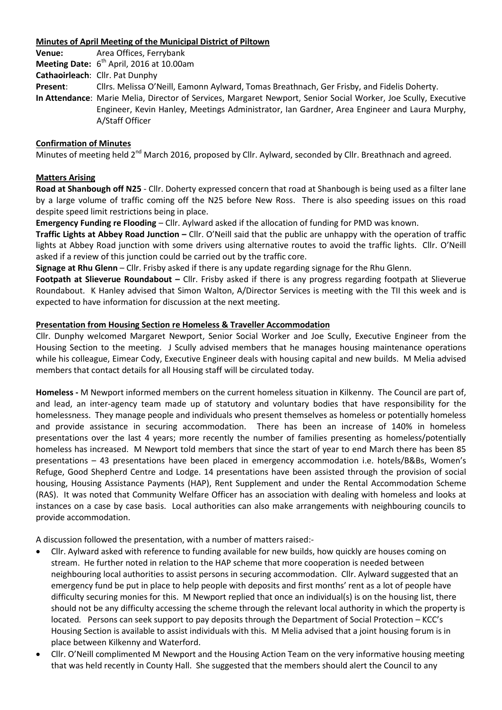# **Minutes of April Meeting of the Municipal District of Piltown**

**Venue:** Area Offices, Ferrybank **Meeting Date:** 6 th April, 2016 at 10.00am

**Cathaoirleach**: Cllr. Pat Dunphy

**Present**: Cllrs. Melissa O'Neill, Eamonn Aylward, Tomas Breathnach, Ger Frisby, and Fidelis Doherty.

**In Attendance**: Marie Melia, Director of Services, Margaret Newport, Senior Social Worker, Joe Scully, Executive Engineer, Kevin Hanley, Meetings Administrator, Ian Gardner, Area Engineer and Laura Murphy, A/Staff Officer

# **Confirmation of Minutes**

Minutes of meeting held 2<sup>nd</sup> March 2016, proposed by Cllr. Aylward, seconded by Cllr. Breathnach and agreed.

# **Matters Arising**

**Road at Shanbough off N25** - Cllr. Doherty expressed concern that road at Shanbough is being used as a filter lane by a large volume of traffic coming off the N25 before New Ross. There is also speeding issues on this road despite speed limit restrictions being in place.

**Emergency Funding re Flooding** – Cllr. Aylward asked if the allocation of funding for PMD was known.

**Traffic Lights at Abbey Road Junction –** Cllr. O'Neill said that the public are unhappy with the operation of traffic lights at Abbey Road junction with some drivers using alternative routes to avoid the traffic lights. Cllr. O'Neill asked if a review of this junction could be carried out by the traffic core.

**Signage at Rhu Glenn** – Cllr. Frisby asked if there is any update regarding signage for the Rhu Glenn.

**Footpath at Slieverue Roundabout –** Cllr. Frisby asked if there is any progress regarding footpath at Slieverue Roundabout. K Hanley advised that Simon Walton, A/Director Services is meeting with the TII this week and is expected to have information for discussion at the next meeting.

## **Presentation from Housing Section re Homeless & Traveller Accommodation**

Cllr. Dunphy welcomed Margaret Newport, Senior Social Worker and Joe Scully, Executive Engineer from the Housing Section to the meeting. J Scully advised members that he manages housing maintenance operations while his colleague, Eimear Cody, Executive Engineer deals with housing capital and new builds. M Melia advised members that contact details for all Housing staff will be circulated today.

**Homeless -** M Newport informed members on the current homeless situation in Kilkenny. The Council are part of, and lead, an inter-agency team made up of statutory and voluntary bodies that have responsibility for the homelessness. They manage people and individuals who present themselves as homeless or potentially homeless and provide assistance in securing accommodation. There has been an increase of 140% in homeless presentations over the last 4 years; more recently the number of families presenting as homeless/potentially homeless has increased. M Newport told members that since the start of year to end March there has been 85 presentations – 43 presentations have been placed in emergency accommodation i.e. hotels/B&Bs, Women's Refuge, Good Shepherd Centre and Lodge. 14 presentations have been assisted through the provision of social housing, Housing Assistance Payments (HAP), Rent Supplement and under the Rental Accommodation Scheme (RAS). It was noted that Community Welfare Officer has an association with dealing with homeless and looks at instances on a case by case basis. Local authorities can also make arrangements with neighbouring councils to provide accommodation.

A discussion followed the presentation, with a number of matters raised:-

- Cllr. Aylward asked with reference to funding available for new builds, how quickly are houses coming on stream. He further noted in relation to the HAP scheme that more cooperation is needed between neighbouring local authorities to assist persons in securing accommodation. Cllr. Aylward suggested that an emergency fund be put in place to help people with deposits and first months' rent as a lot of people have difficulty securing monies for this. M Newport replied that once an individual(s) is on the housing list, there should not be any difficulty accessing the scheme through the relevant local authority in which the property is located*.* Persons can seek support to pay deposits through the Department of Social Protection – KCC's Housing Section is available to assist individuals with this. M Melia advised that a joint housing forum is in place between Kilkenny and Waterford.
- Cllr. O'Neill complimented M Newport and the Housing Action Team on the very informative housing meeting that was held recently in County Hall. She suggested that the members should alert the Council to any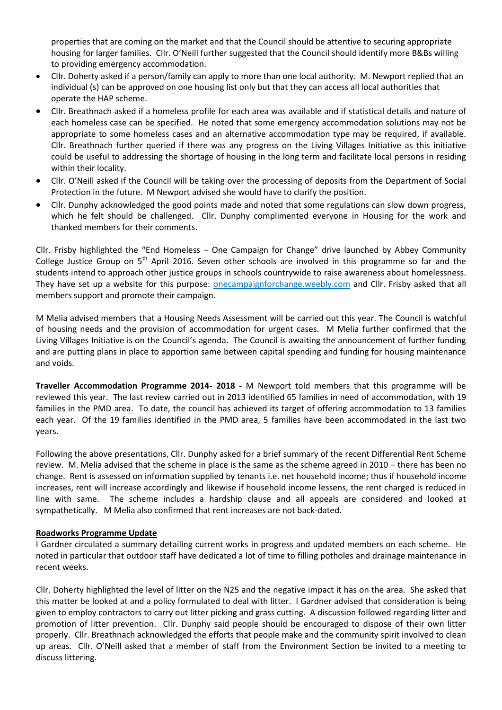properties that are coming on the market and that the Council should be attentive to securing appropriate housing for larger families. Cllr. O'Neill further suggested that the Council should identify more B&Bs willing to providing emergency accommodation.

- Cllr. Doherty asked if a person/family can apply to more than one local authority. M. Newport replied that an individual (s) can be approved on one housing list only but that they can access all local authorities that operate the HAP scheme.
- Cllr. Breathnach asked if a homeless profile for each area was available and if statistical details and nature of each homeless case can be specified. He noted that some emergency accommodation solutions may not be appropriate to some homeless cases and an alternative accommodation type may be required, if available. Cllr. Breathnach further queried if there was any progress on the Living Villages Initiative as this initiative could be useful to addressing the shortage of housing in the long term and facilitate local persons in residing within their locality.
- Cllr. O'Neill asked if the Council will be taking over the processing of deposits from the Department of Social Protection in the future. M Newport advised she would have to clarify the position.
- Cllr. Dunphy acknowledged the good points made and noted that some regulations can slow down progress, which he felt should be challenged. Cllr. Dunphy complimented everyone in Housing for the work and thanked members for their comments.

Cllr. Frisby highlighted the "End Homeless – One Campaign for Change" drive launched by Abbey Community College Justice Group on 5<sup>th</sup> April 2016. Seven other schools are involved in this programme so far and the students intend to approach other justice groups in schools countrywide to raise awareness about homelessness. They have set up a website for this purpose: onecampaignforchange.weebly.com and Cllr. Frisby asked that all members support and promote their campaign.

M Melia advised members that a Housing Needs Assessment will be carried out this year. The Council is watchful of housing needs and the provision of accommodation for urgent cases. M Melia further confirmed that the Living Villages Initiative is on the Council's agenda. The Council is awaiting the announcement of further funding and are putting plans in place to apportion same between capital spending and funding for housing maintenance and voids.

**Traveller Accommodation Programme 2014- 2018 -** M Newport told members that this programme will be reviewed this year. The last review carried out in 2013 identified 65 families in need of accommodation, with 19 families in the PMD area. To date, the council has achieved its target of offering accommodation to 13 families each year. Of the 19 families identified in the PMD area, 5 families have been accommodated in the last two years.

Following the above presentations, Cllr. Dunphy asked for a brief summary of the recent Differential Rent Scheme review. M. Melia advised that the scheme in place is the same as the scheme agreed in 2010 – there has been no change. Rent is assessed on information supplied by tenants i.e. net household income; thus if household income increases, rent will increase accordingly and likewise if household income lessens, the rent charged is reduced in line with same. The scheme includes a hardship clause and all appeals are considered and looked at sympathetically. M Melia also confirmed that rent increases are not back-dated.

# **Roadworks Programme Update**

I Gardner circulated a summary detailing current works in progress and updated members on each scheme. He noted in particular that outdoor staff have dedicated a lot of time to filling potholes and drainage maintenance in recent weeks.

Cllr. Doherty highlighted the level of litter on the N25 and the negative impact it has on the area. She asked that this matter be looked at and a policy formulated to deal with litter. I Gardner advised that consideration is being given to employ contractors to carry out litter picking and grass cutting. A discussion followed regarding litter and promotion of litter prevention. Cllr. Dunphy said people should be encouraged to dispose of their own litter properly. Cllr. Breathnach acknowledged the efforts that people make and the community spirit involved to clean up areas. Cllr. O'Neill asked that a member of staff from the Environment Section be invited to a meeting to discuss littering.